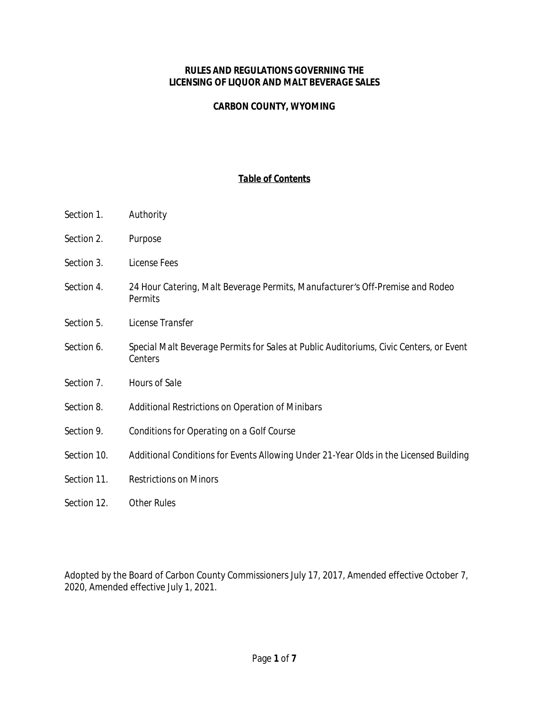#### **RULES AND REGULATIONS GOVERNING THE LICENSING OF LIQUOR AND MALT BEVERAGE SALES**

#### **CARBON COUNTY, WYOMING**

#### *Table of Contents*

- *Section 1. Authority*
- *Section 2. Purpose*
- *Section 3. License Fees*
- *Section 4. 24 Hour Catering, Malt Beverage Permits, Manufacturer's Off-Premise and Rodeo Permits*
- *Section 5. License Transfer*
- *Section 6. Special Malt Beverage Permits for Sales at Public Auditoriums, Civic Centers, or Event Centers*
- *Section 7. Hours of Sale*
- *Section 8. Additional Restrictions on Operation of Minibars*
- *Section 9. Conditions for Operating on a Golf Course*
- *Section 10. Additional Conditions for Events Allowing Under 21-Year Olds in the Licensed Building*
- *Section 11. Restrictions on Minors*
- *Section 12. Other Rules*

Adopted by the Board of Carbon County Commissioners July 17, 2017, Amended effective October 7, 2020, Amended effective July 1, 2021.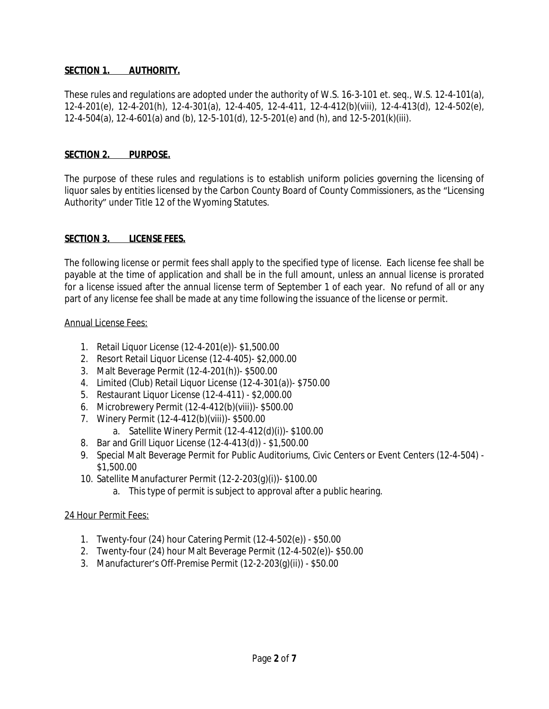#### **SECTION 1. AUTHORITY.**

These rules and regulations are adopted under the authority of W.S. 16-3-101 et. seq., W.S. 12-4-101(a), 12-4-201(e), 12-4-201(h), 12-4-301(a), 12-4-405, 12-4-411, 12-4-412(b)(viii), 12-4-413(d), 12-4-502(e), 12-4-504(a), 12-4-601(a) and (b), 12-5-101(d), 12-5-201(e) and (h), and 12-5-201(k)(iii).

#### **SECTION 2. PURPOSE.**

The purpose of these rules and regulations is to establish uniform policies governing the licensing of liquor sales by entities licensed by the Carbon County Board of County Commissioners, as the "Licensing Authority" under Title 12 of the Wyoming Statutes.

#### **SECTION 3. LICENSE FEES.**

The following license or permit fees shall apply to the specified type of license. Each license fee shall be payable at the time of application and shall be in the full amount, unless an annual license is prorated for a license issued after the annual license term of September 1 of each year. No refund of all or any part of any license fee shall be made at any time following the issuance of the license or permit.

#### Annual License Fees:

- 1. Retail Liquor License (12-4-201(e))- \$1,500.00
- 2. Resort Retail Liquor License (12-4-405)- \$2,000.00
- 3. Malt Beverage Permit (12-4-201(h))- \$500.00
- 4. Limited (Club) Retail Liquor License (12-4-301(a))- \$750.00
- 5. Restaurant Liquor License (12-4-411) \$2,000.00
- 6. Microbrewery Permit (12-4-412(b)(viii))- \$500.00
- 7. Winery Permit (12-4-412(b)(viii))- \$500.00
	- a. Satellite Winery Permit (12-4-412(d)(i))- \$100.00
- 8. Bar and Grill Liquor License (12-4-413(d)) \$1,500.00
- 9. Special Malt Beverage Permit for Public Auditoriums, Civic Centers or Event Centers (12-4-504) \$1,500.00
- 10. Satellite Manufacturer Permit (12-2-203(g)(i))- \$100.00
	- a. This type of permit is subject to approval after a public hearing.

#### 24 Hour Permit Fees:

- 1. Twenty-four (24) hour Catering Permit (12-4-502(e)) \$50.00
- 2. Twenty-four (24) hour Malt Beverage Permit (12-4-502(e))- \$50.00
- 3. Manufacturer's Off-Premise Permit (12-2-203(g)(ii)) \$50.00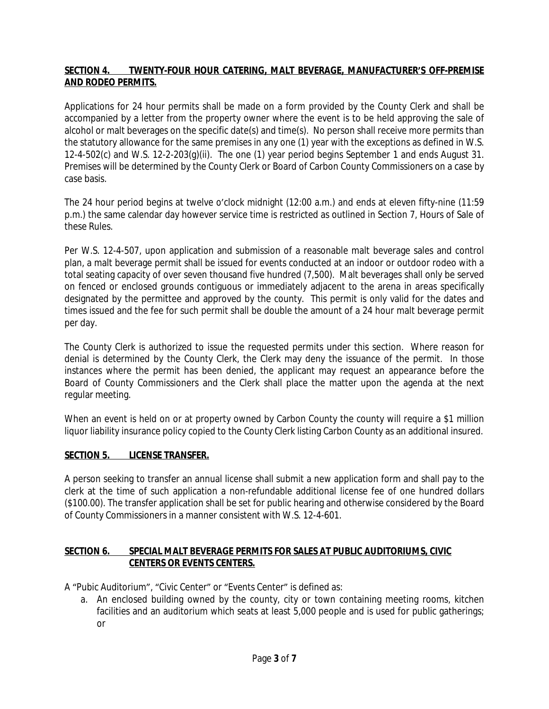## **SECTION 4. TWENTY-FOUR HOUR CATERING, MALT BEVERAGE, MANUFACTURER'S OFF-PREMISE AND RODEO PERMITS.**

Applications for 24 hour permits shall be made on a form provided by the County Clerk and shall be accompanied by a letter from the property owner where the event is to be held approving the sale of alcohol or malt beverages on the specific date(s) and time(s). No person shall receive more permits than the statutory allowance for the same premises in any one (1) year with the exceptions as defined in W.S. 12-4-502(c) and W.S. 12-2-203(g)(ii). The one (1) year period begins September 1 and ends August 31. Premises will be determined by the County Clerk or Board of Carbon County Commissioners on a case by case basis.

The 24 hour period begins at twelve o'clock midnight (12:00 a.m.) and ends at eleven fifty-nine (11:59 p.m.) the same calendar day however service time is restricted as outlined in Section 7, Hours of Sale of these Rules.

Per W.S. 12-4-507, upon application and submission of a reasonable malt beverage sales and control plan, a malt beverage permit shall be issued for events conducted at an indoor or outdoor rodeo with a total seating capacity of over seven thousand five hundred (7,500). Malt beverages shall only be served on fenced or enclosed grounds contiguous or immediately adjacent to the arena in areas specifically designated by the permittee and approved by the county. This permit is only valid for the dates and times issued and the fee for such permit shall be double the amount of a 24 hour malt beverage permit per day.

The County Clerk is authorized to issue the requested permits under this section. Where reason for denial is determined by the County Clerk, the Clerk may deny the issuance of the permit. In those instances where the permit has been denied, the applicant may request an appearance before the Board of County Commissioners and the Clerk shall place the matter upon the agenda at the next regular meeting.

When an event is held on or at property owned by Carbon County the county will require a \$1 million liquor liability insurance policy copied to the County Clerk listing Carbon County as an additional insured.

### **SECTION 5. LICENSE TRANSFER.**

A person seeking to transfer an annual license shall submit a new application form and shall pay to the clerk at the time of such application a non-refundable additional license fee of one hundred dollars (\$100.00). The transfer application shall be set for public hearing and otherwise considered by the Board of County Commissioners in a manner consistent with W.S. 12-4-601.

### **SECTION 6. SPECIAL MALT BEVERAGE PERMITS FOR SALES AT PUBLIC AUDITORIUMS, CIVIC CENTERS OR EVENTS CENTERS.**

A "Pubic Auditorium", "Civic Center" or "Events Center" is defined as:

a. An enclosed building owned by the county, city or town containing meeting rooms, kitchen facilities and an auditorium which seats at least 5,000 people and is used for public gatherings; or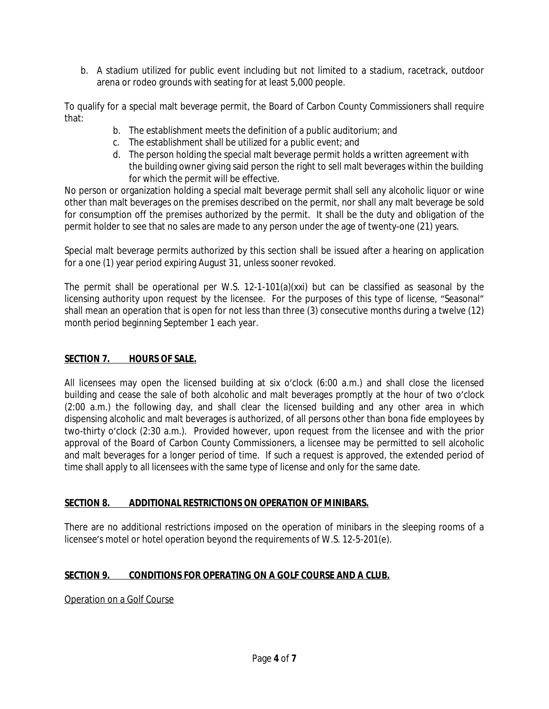b. A stadium utilized for public event including but not limited to a stadium, racetrack, outdoor arena or rodeo grounds with seating for at least 5,000 people.

To qualify for a special malt beverage permit, the Board of Carbon County Commissioners shall require that:

- b. The establishment meets the definition of a public auditorium; and
- c. The establishment shall be utilized for a public event; and
- d. The person holding the special malt beverage permit holds a written agreement with the building owner giving said person the right to sell malt beverages within the building for which the permit will be effective.

No person or organization holding a special malt beverage permit shall sell any alcoholic liquor or wine other than malt beverages on the premises described on the permit, nor shall any malt beverage be sold for consumption off the premises authorized by the permit. It shall be the duty and obligation of the permit holder to see that no sales are made to any person under the age of twenty-one (21) years.

Special malt beverage permits authorized by this section shall be issued after a hearing on application for a one (1) year period expiring August 31, unless sooner revoked.

The permit shall be operational per W.S.  $12-1-101(a)(xxi)$  but can be classified as seasonal by the licensing authority upon request by the licensee. For the purposes of this type of license, "Seasonal" shall mean an operation that is open for not less than three (3) consecutive months during a twelve (12) month period beginning September 1 each year.

## **SECTION 7. HOURS OF SALE.**

All licensees may open the licensed building at six o'clock (6:00 a.m.) and shall close the licensed building and cease the sale of both alcoholic and malt beverages promptly at the hour of two o'clock (2:00 a.m.) the following day, and shall clear the licensed building and any other area in which dispensing alcoholic and malt beverages is authorized, of all persons other than bona fide employees by two-thirty o'clock (2:30 a.m.). Provided however, upon request from the licensee and with the prior approval of the Board of Carbon County Commissioners, a licensee may be permitted to sell alcoholic and malt beverages for a longer period of time. If such a request is approved, the extended period of time shall apply to all licensees with the same type of license and only for the same date.

### **SECTION 8. ADDITIONAL RESTRICTIONS ON OPERATION OF MINIBARS.**

There are no additional restrictions imposed on the operation of minibars in the sleeping rooms of a licensee's motel or hotel operation beyond the requirements of W.S. 12-5-201(e).

# **SECTION 9. CONDITIONS FOR OPERATING ON A GOLF COURSE AND A CLUB.**

Operation on a Golf Course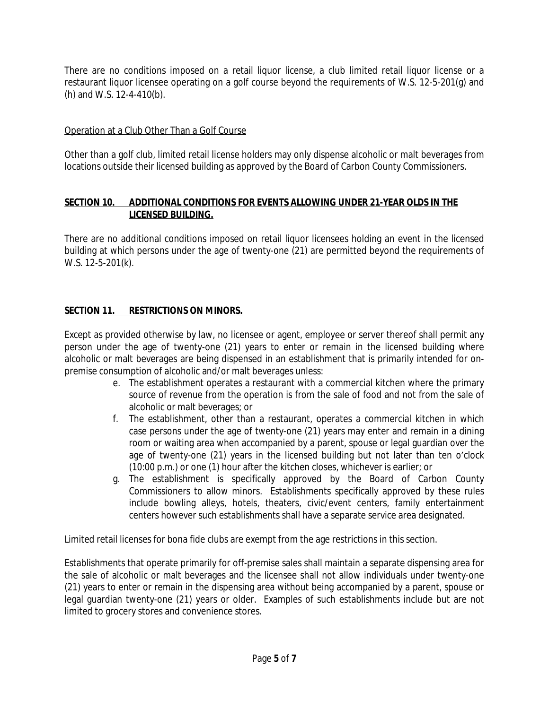There are no conditions imposed on a retail liquor license, a club limited retail liquor license or a restaurant liquor licensee operating on a golf course beyond the requirements of W.S. 12-5-201(g) and (h) and W.S. 12-4-410(b).

## Operation at a Club Other Than a Golf Course

Other than a golf club, limited retail license holders may only dispense alcoholic or malt beverages from locations outside their licensed building as approved by the Board of Carbon County Commissioners.

#### **SECTION 10. ADDITIONAL CONDITIONS FOR EVENTS ALLOWING UNDER 21-YEAR OLDS IN THE LICENSED BUILDING.**

There are no additional conditions imposed on retail liquor licensees holding an event in the licensed building at which persons under the age of twenty-one (21) are permitted beyond the requirements of W.S. 12-5-201(k).

# **SECTION 11. RESTRICTIONS ON MINORS.**

Except as provided otherwise by law, no licensee or agent, employee or server thereof shall permit any person under the age of twenty-one (21) years to enter or remain in the licensed building where alcoholic or malt beverages are being dispensed in an establishment that is primarily intended for onpremise consumption of alcoholic and/or malt beverages unless:

- e. The establishment operates a restaurant with a commercial kitchen where the primary source of revenue from the operation is from the sale of food and not from the sale of alcoholic or malt beverages; or
- f. The establishment, other than a restaurant, operates a commercial kitchen in which case persons under the age of twenty-one (21) years may enter and remain in a dining room or waiting area when accompanied by a parent, spouse or legal guardian over the age of twenty-one (21) years in the licensed building but not later than ten o'clock (10:00 p.m.) or one (1) hour after the kitchen closes, whichever is earlier; or
- g. The establishment is specifically approved by the Board of Carbon County Commissioners to allow minors. Establishments specifically approved by these rules include bowling alleys, hotels, theaters, civic/event centers, family entertainment centers however such establishments shall have a separate service area designated.

Limited retail licenses for bona fide clubs are exempt from the age restrictions in this section.

Establishments that operate primarily for off-premise sales shall maintain a separate dispensing area for the sale of alcoholic or malt beverages and the licensee shall not allow individuals under twenty-one (21) years to enter or remain in the dispensing area without being accompanied by a parent, spouse or legal guardian twenty-one (21) years or older. Examples of such establishments include but are not limited to grocery stores and convenience stores.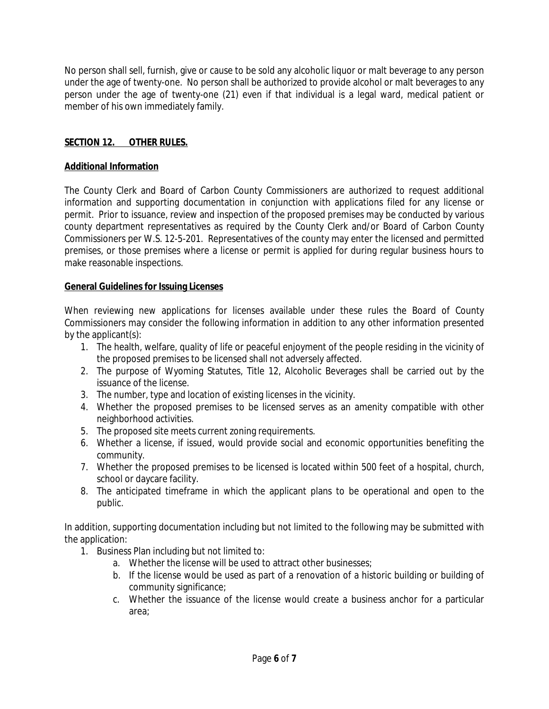No person shall sell, furnish, give or cause to be sold any alcoholic liquor or malt beverage to any person under the age of twenty-one. No person shall be authorized to provide alcohol or malt beverages to any person under the age of twenty-one (21) even if that individual is a legal ward, medical patient or member of his own immediately family.

# **SECTION 12. OTHER RULES.**

## **Additional Information**

The County Clerk and Board of Carbon County Commissioners are authorized to request additional information and supporting documentation in conjunction with applications filed for any license or permit. Prior to issuance, review and inspection of the proposed premises may be conducted by various county department representatives as required by the County Clerk and/or Board of Carbon County Commissioners per W.S. 12-5-201. Representatives of the county may enter the licensed and permitted premises, or those premises where a license or permit is applied for during regular business hours to make reasonable inspections.

# **General Guidelines for Issuing Licenses**

When reviewing new applications for licenses available under these rules the Board of County Commissioners may consider the following information in addition to any other information presented by the applicant(s):

- 1. The health, welfare, quality of life or peaceful enjoyment of the people residing in the vicinity of the proposed premises to be licensed shall not adversely affected.
- 2. The purpose of Wyoming Statutes, Title 12, Alcoholic Beverages shall be carried out by the issuance of the license.
- 3. The number, type and location of existing licenses in the vicinity.
- 4. Whether the proposed premises to be licensed serves as an amenity compatible with other neighborhood activities.
- 5. The proposed site meets current zoning requirements.
- 6. Whether a license, if issued, would provide social and economic opportunities benefiting the community.
- 7. Whether the proposed premises to be licensed is located within 500 feet of a hospital, church, school or daycare facility.
- 8. The anticipated timeframe in which the applicant plans to be operational and open to the public.

In addition, supporting documentation including but not limited to the following may be submitted with the application:

- 1. Business Plan including but not limited to:
	- a. Whether the license will be used to attract other businesses;
	- b. If the license would be used as part of a renovation of a historic building or building of community significance;
	- c. Whether the issuance of the license would create a business anchor for a particular area;